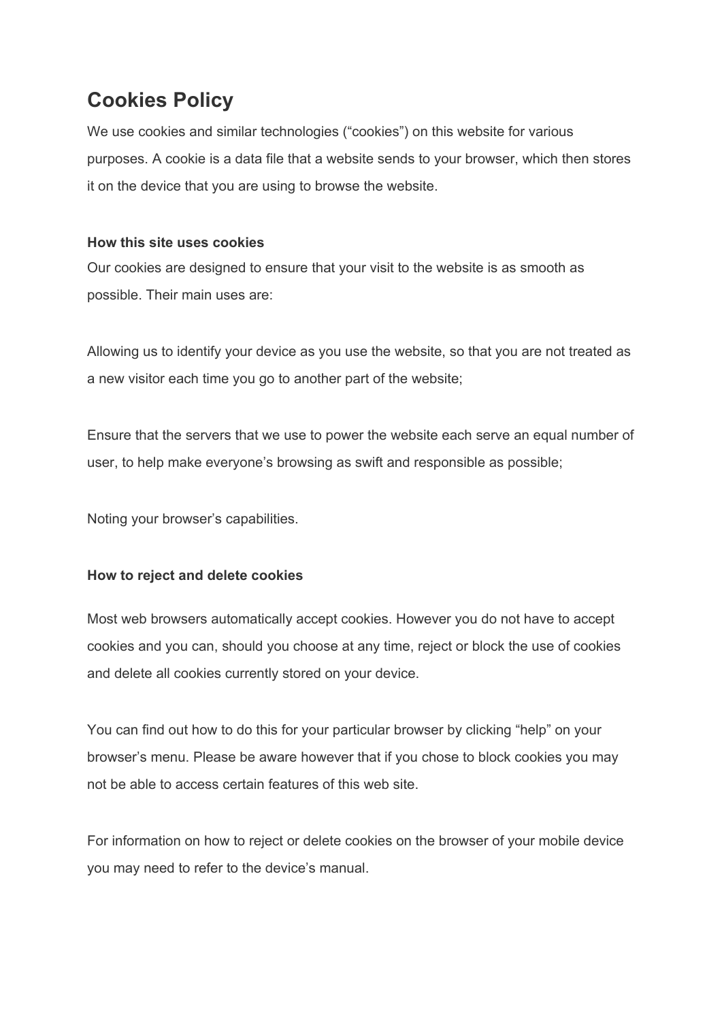# **Cookies Policy**

We use cookies and similar technologies ("cookies") on this website for various purposes. A cookie is a data file that a website sends to your browser, which then stores it on the device that you are using to browse the website.

## **How this site uses cookies**

Our cookies are designed to ensure that your visit to the website is as smooth as possible. Their main uses are:

Allowing us to identify your device as you use the website, so that you are not treated as a new visitor each time you go to another part of the website;

Ensure that the servers that we use to power the website each serve an equal number of user, to help make everyone's browsing as swift and responsible as possible;

Noting your browser's capabilities.

#### **How to reject and delete cookies**

Most web browsers automatically accept cookies. However you do not have to accept cookies and you can, should you choose at any time, reject or block the use of cookies and delete all cookies currently stored on your device.

You can find out how to do this for your particular browser by clicking "help" on your browser's menu. Please be aware however that if you chose to block cookies you may not be able to access certain features of this web site.

For information on how to reject or delete cookies on the browser of your mobile device you may need to refer to the device's manual.